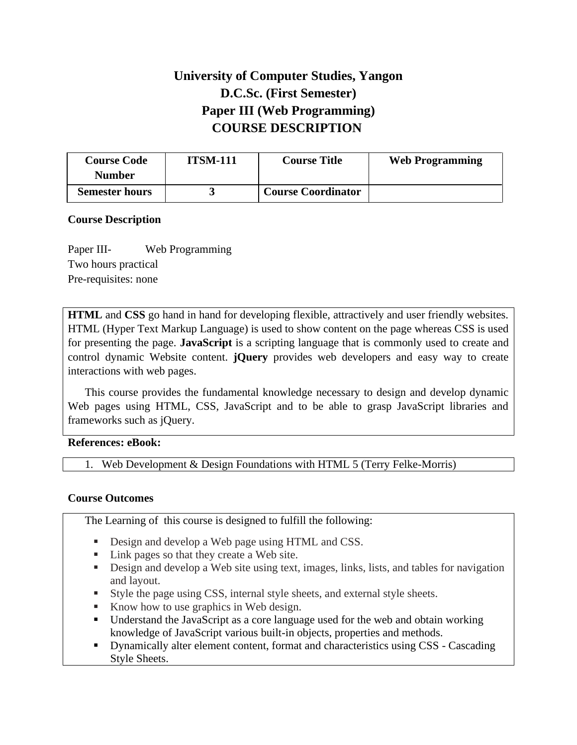# **University of Computer Studies, Yangon D.C.Sc. (First Semester) Paper III (Web Programming) COURSE DESCRIPTION**

| <b>Course Code</b>    | <b>ITSM-111</b> | <b>Course Title</b>       | <b>Web Programming</b> |
|-----------------------|-----------------|---------------------------|------------------------|
| <b>Number</b>         |                 |                           |                        |
| <b>Semester hours</b> |                 | <b>Course Coordinator</b> |                        |

## **Course Description**

Paper III- Web Programming Two hours practical Pre-requisites: none

**HTML** and **CSS** go hand in hand for developing flexible, attractively and user friendly websites. HTML (Hyper Text Markup Language) is used to show content on the page whereas CSS is used for presenting the page. **JavaScript** is a scripting language that is commonly used to create and control dynamic Website content. **jQuery** provides web developers and easy way to create interactions with web pages.

This course provides the fundamental knowledge necessary to design and develop dynamic Web pages using HTML, CSS, JavaScript and to be able to grasp JavaScript libraries and frameworks such as jQuery.

## **References: eBook:**

1. Web Development & Design Foundations with HTML 5 (Terry Felke-Morris)

## **Course Outcomes**

The Learning of this course is designed to fulfill the following:

- Design and develop a Web page using HTML and CSS.
- Link pages so that they create a Web site.
- Design and develop a Web site using text, images, links, lists, and tables for navigation and layout.
- Style the page using CSS, internal style sheets, and external style sheets.
- Know how to use graphics in Web design.
- Understand the JavaScript as a core language used for the web and obtain working knowledge of JavaScript various built-in objects, properties and methods.
- **•** Dynamically alter element content, format and characteristics using CSS Cascading Style Sheets.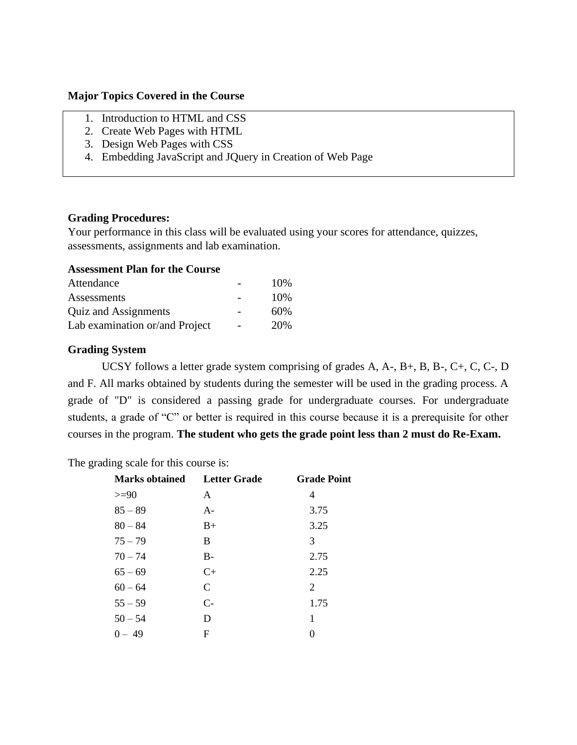#### **Major Topics Covered in the Course**

- 1. Introduction to HTML and CSS
- 2. Create Web Pages with HTML
- 3. Design Web Pages with CSS
- 4. Embedding JavaScript and JQuery in Creation of Web Page

### **Grading Procedures:**

Your performance in this class will be evaluated using your scores for attendance, quizzes, assessments, assignments and lab examination.

## **Assessment Plan for the Course**

| Attendance                     | 10% |
|--------------------------------|-----|
| Assessments                    | 10% |
| Quiz and Assignments           | 60% |
| Lab examination or/and Project | 20% |

### **Grading System**

UCSY follows a letter grade system comprising of grades A, A-, B+, B, B-, C+, C, C-, D and F. All marks obtained by students during the semester will be used in the grading process. A grade of "D" is considered a passing grade for undergraduate courses. For undergraduate students, a grade of "C" or better is required in this course because it is a prerequisite for other courses in the program. **The student who gets the grade point less than 2 must do Re-Exam.**

The grading scale for this course is:

| <b>Marks obtained</b> | <b>Letter Grade</b>         | <b>Grade Point</b> |
|-----------------------|-----------------------------|--------------------|
| $>=$ 90               | A                           | 4                  |
| $85 - 89$             | $A -$                       | 3.75               |
| $80 - 84$             | $B+$                        | 3.25               |
| $75 - 79$             | B                           | 3                  |
| $70 - 74$             | $B -$                       | 2.75               |
| $65 - 69$             | $C_{\pm}$                   | 2.25               |
| $60 - 64$             | $\mathcal{C}_{\mathcal{C}}$ | 2                  |
| $55 - 59$             | $C-$                        | 1.75               |
| $50 - 54$             | D                           | 1                  |
| $0 - 49$              | F                           | $\Omega$           |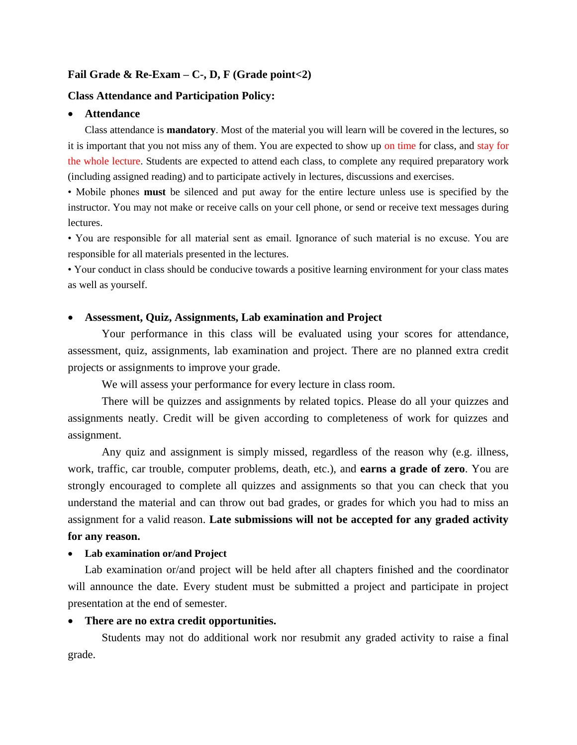#### **Fail Grade & Re-Exam – C-, D, F (Grade point<2)**

### **Class Attendance and Participation Policy:**

#### • **Attendance**

Class attendance is **mandatory**. Most of the material you will learn will be covered in the lectures, so it is important that you not miss any of them. You are expected to show up on time for class, and stay for the whole lecture. Students are expected to attend each class, to complete any required preparatory work (including assigned reading) and to participate actively in lectures, discussions and exercises.

• Mobile phones **must** be silenced and put away for the entire lecture unless use is specified by the instructor. You may not make or receive calls on your cell phone, or send or receive text messages during lectures.

• You are responsible for all material sent as email. Ignorance of such material is no excuse. You are responsible for all materials presented in the lectures.

• Your conduct in class should be conducive towards a positive learning environment for your class mates as well as yourself.

#### • **Assessment, Quiz, Assignments, Lab examination and Project**

Your performance in this class will be evaluated using your scores for attendance, assessment, quiz, assignments, lab examination and project. There are no planned extra credit projects or assignments to improve your grade.

We will assess your performance for every lecture in class room.

There will be quizzes and assignments by related topics. Please do all your quizzes and assignments neatly. Credit will be given according to completeness of work for quizzes and assignment.

Any quiz and assignment is simply missed, regardless of the reason why (e.g. illness, work, traffic, car trouble, computer problems, death, etc.), and **earns a grade of zero**. You are strongly encouraged to complete all quizzes and assignments so that you can check that you understand the material and can throw out bad grades, or grades for which you had to miss an assignment for a valid reason. **Late submissions will not be accepted for any graded activity for any reason.**

#### • **Lab examination or/and Project**

Lab examination or/and project will be held after all chapters finished and the coordinator will announce the date. Every student must be submitted a project and participate in project presentation at the end of semester.

#### • **There are no extra credit opportunities.**

Students may not do additional work nor resubmit any graded activity to raise a final grade.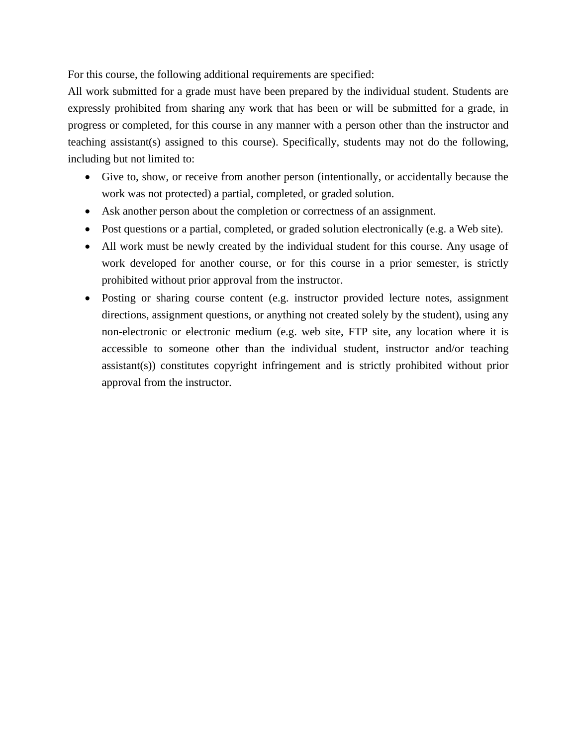For this course, the following additional requirements are specified:

All work submitted for a grade must have been prepared by the individual student. Students are expressly prohibited from sharing any work that has been or will be submitted for a grade, in progress or completed, for this course in any manner with a person other than the instructor and teaching assistant(s) assigned to this course). Specifically, students may not do the following, including but not limited to:

- Give to, show, or receive from another person (intentionally, or accidentally because the work was not protected) a partial, completed, or graded solution.
- Ask another person about the completion or correctness of an assignment.
- Post questions or a partial, completed, or graded solution electronically (e.g. a Web site).
- All work must be newly created by the individual student for this course. Any usage of work developed for another course, or for this course in a prior semester, is strictly prohibited without prior approval from the instructor.
- Posting or sharing course content (e.g. instructor provided lecture notes, assignment directions, assignment questions, or anything not created solely by the student), using any non-electronic or electronic medium (e.g. web site, FTP site, any location where it is accessible to someone other than the individual student, instructor and/or teaching assistant(s)) constitutes copyright infringement and is strictly prohibited without prior approval from the instructor.